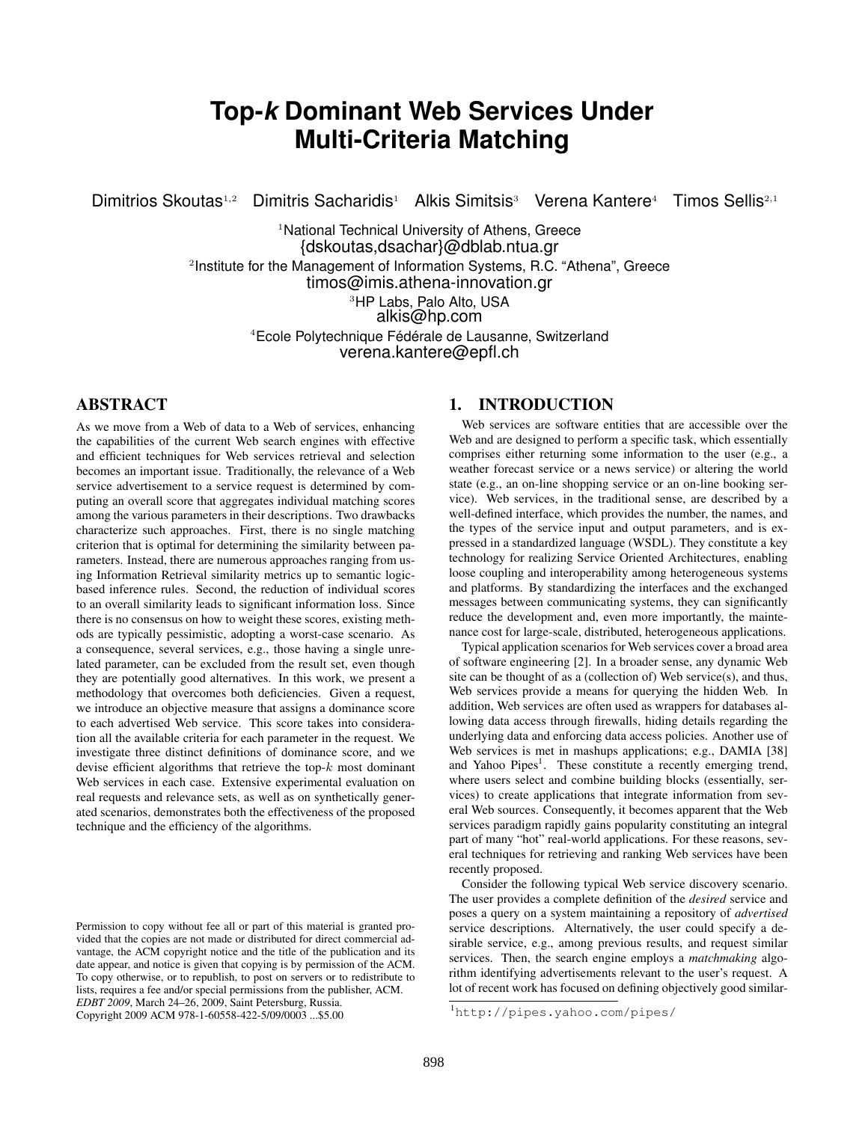# **Top-***k* **Dominant Web Services Under Multi-Criteria Matching**

Dimitrios Skoutas<sup>1,2</sup> Dimitris Sacharidis<sup>1</sup> Alkis Simitsis<sup>3</sup> Verena Kantere<sup>4</sup> Timos Sellis<sup>2,1</sup>

<sup>1</sup>National Technical University of Athens, Greece {dskoutas,dsachar}@dblab.ntua.gr 2 Institute for the Management of Information Systems, R.C. "Athena", Greece timos@imis.athena-innovation.gr

> <sup>3</sup>HP Labs, Palo Alto, USA alkis@hp.com

<sup>4</sup>Ecole Polytechnique Fédérale de Lausanne, Switzerland verena.kantere@epfl.ch

## ABSTRACT

As we move from a Web of data to a Web of services, enhancing the capabilities of the current Web search engines with effective and efficient techniques for Web services retrieval and selection becomes an important issue. Traditionally, the relevance of a Web service advertisement to a service request is determined by computing an overall score that aggregates individual matching scores among the various parameters in their descriptions. Two drawbacks characterize such approaches. First, there is no single matching criterion that is optimal for determining the similarity between parameters. Instead, there are numerous approaches ranging from using Information Retrieval similarity metrics up to semantic logicbased inference rules. Second, the reduction of individual scores to an overall similarity leads to significant information loss. Since there is no consensus on how to weight these scores, existing methods are typically pessimistic, adopting a worst-case scenario. As a consequence, several services, e.g., those having a single unrelated parameter, can be excluded from the result set, even though they are potentially good alternatives. In this work, we present a methodology that overcomes both deficiencies. Given a request, we introduce an objective measure that assigns a dominance score to each advertised Web service. This score takes into consideration all the available criteria for each parameter in the request. We investigate three distinct definitions of dominance score, and we devise efficient algorithms that retrieve the top- $k$  most dominant Web services in each case. Extensive experimental evaluation on real requests and relevance sets, as well as on synthetically generated scenarios, demonstrates both the effectiveness of the proposed technique and the efficiency of the algorithms.

# 1. INTRODUCTION

Web services are software entities that are accessible over the Web and are designed to perform a specific task, which essentially comprises either returning some information to the user (e.g., a weather forecast service or a news service) or altering the world state (e.g., an on-line shopping service or an on-line booking service). Web services, in the traditional sense, are described by a well-defined interface, which provides the number, the names, and the types of the service input and output parameters, and is expressed in a standardized language (WSDL). They constitute a key technology for realizing Service Oriented Architectures, enabling loose coupling and interoperability among heterogeneous systems and platforms. By standardizing the interfaces and the exchanged messages between communicating systems, they can significantly reduce the development and, even more importantly, the maintenance cost for large-scale, distributed, heterogeneous applications.

Typical application scenarios for Web services cover a broad area of software engineering [2]. In a broader sense, any dynamic Web site can be thought of as a (collection of) Web service(s), and thus, Web services provide a means for querying the hidden Web. In addition, Web services are often used as wrappers for databases allowing data access through firewalls, hiding details regarding the underlying data and enforcing data access policies. Another use of Web services is met in mashups applications; e.g., DAMIA [38] and Yahoo Pipes<sup>1</sup>. These constitute a recently emerging trend, where users select and combine building blocks (essentially, services) to create applications that integrate information from several Web sources. Consequently, it becomes apparent that the Web services paradigm rapidly gains popularity constituting an integral part of many "hot" real-world applications. For these reasons, several techniques for retrieving and ranking Web services have been recently proposed.

Consider the following typical Web service discovery scenario. The user provides a complete definition of the *desired* service and poses a query on a system maintaining a repository of *advertised* service descriptions. Alternatively, the user could specify a desirable service, e.g., among previous results, and request similar services. Then, the search engine employs a *matchmaking* algorithm identifying advertisements relevant to the user's request. A lot of recent work has focused on defining objectively good similar-

Permission to copy without fee all or part of this material is granted provided that the copies are not made or distributed for direct commercial advantage, the ACM copyright notice and the title of the publication and its date appear, and notice is given that copying is by permission of the ACM. To copy otherwise, or to republish, to post on servers or to redistribute to lists, requires a fee and/or special permissions from the publisher, ACM. *EDBT 2009*, March 24–26, 2009, Saint Petersburg, Russia. Copyright 2009 ACM 978-1-60558-422-5/09/0003 ...\$5.00

<sup>1</sup>http://pipes.yahoo.com/pipes/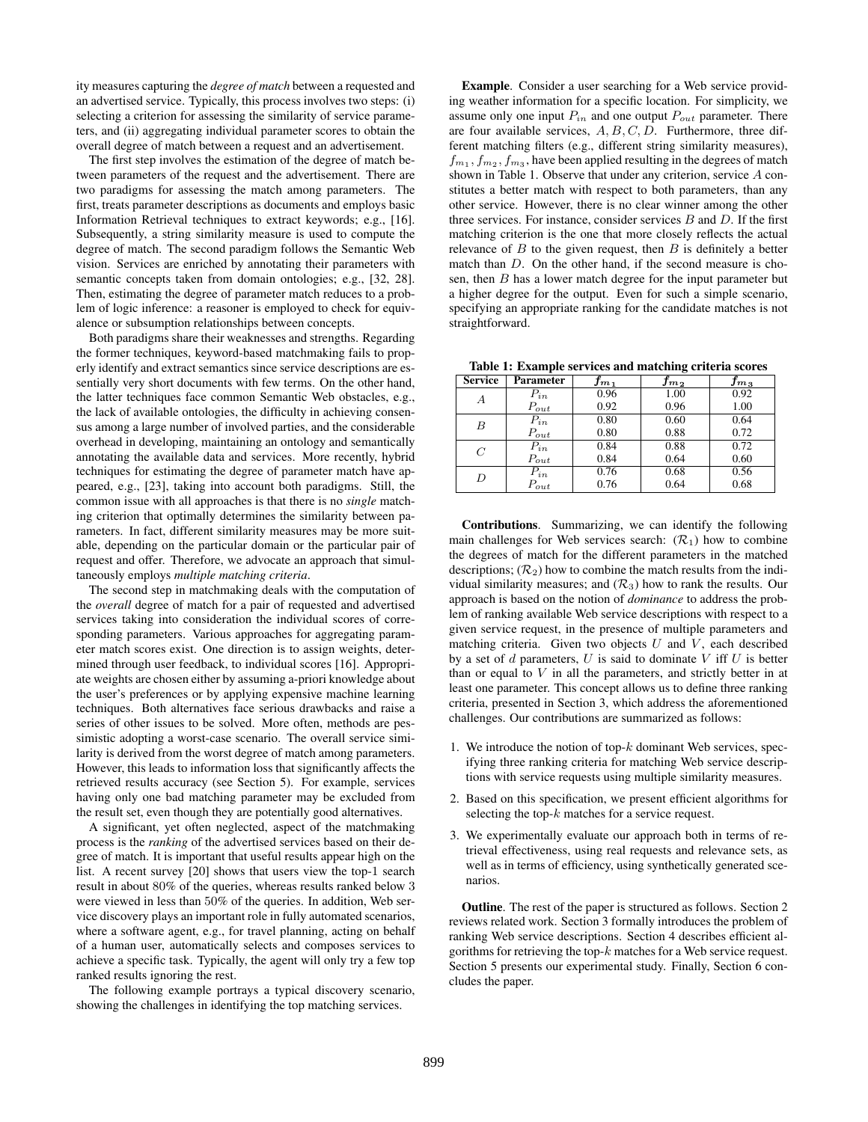ity measures capturing the *degree of match* between a requested and an advertised service. Typically, this process involves two steps: (i) selecting a criterion for assessing the similarity of service parameters, and (ii) aggregating individual parameter scores to obtain the overall degree of match between a request and an advertisement.

The first step involves the estimation of the degree of match between parameters of the request and the advertisement. There are two paradigms for assessing the match among parameters. The first, treats parameter descriptions as documents and employs basic Information Retrieval techniques to extract keywords; e.g., [16]. Subsequently, a string similarity measure is used to compute the degree of match. The second paradigm follows the Semantic Web vision. Services are enriched by annotating their parameters with semantic concepts taken from domain ontologies; e.g., [32, 28]. Then, estimating the degree of parameter match reduces to a problem of logic inference: a reasoner is employed to check for equivalence or subsumption relationships between concepts.

Both paradigms share their weaknesses and strengths. Regarding the former techniques, keyword-based matchmaking fails to properly identify and extract semantics since service descriptions are essentially very short documents with few terms. On the other hand, the latter techniques face common Semantic Web obstacles, e.g., the lack of available ontologies, the difficulty in achieving consensus among a large number of involved parties, and the considerable overhead in developing, maintaining an ontology and semantically annotating the available data and services. More recently, hybrid techniques for estimating the degree of parameter match have appeared, e.g., [23], taking into account both paradigms. Still, the common issue with all approaches is that there is no *single* matching criterion that optimally determines the similarity between parameters. In fact, different similarity measures may be more suitable, depending on the particular domain or the particular pair of request and offer. Therefore, we advocate an approach that simultaneously employs *multiple matching criteria*.

The second step in matchmaking deals with the computation of the *overall* degree of match for a pair of requested and advertised services taking into consideration the individual scores of corresponding parameters. Various approaches for aggregating parameter match scores exist. One direction is to assign weights, determined through user feedback, to individual scores [16]. Appropriate weights are chosen either by assuming a-priori knowledge about the user's preferences or by applying expensive machine learning techniques. Both alternatives face serious drawbacks and raise a series of other issues to be solved. More often, methods are pessimistic adopting a worst-case scenario. The overall service similarity is derived from the worst degree of match among parameters. However, this leads to information loss that significantly affects the retrieved results accuracy (see Section 5). For example, services having only one bad matching parameter may be excluded from the result set, even though they are potentially good alternatives.

A significant, yet often neglected, aspect of the matchmaking process is the *ranking* of the advertised services based on their degree of match. It is important that useful results appear high on the list. A recent survey [20] shows that users view the top-1 search result in about 80% of the queries, whereas results ranked below 3 were viewed in less than 50% of the queries. In addition, Web service discovery plays an important role in fully automated scenarios, where a software agent, e.g., for travel planning, acting on behalf of a human user, automatically selects and composes services to achieve a specific task. Typically, the agent will only try a few top ranked results ignoring the rest.

The following example portrays a typical discovery scenario, showing the challenges in identifying the top matching services.

Example. Consider a user searching for a Web service providing weather information for a specific location. For simplicity, we assume only one input  $P_{in}$  and one output  $P_{out}$  parameter. There are four available services,  $A, B, C, D$ . Furthermore, three different matching filters (e.g., different string similarity measures),  $f_{m_1}, f_{m_2}, f_{m_3}$ , have been applied resulting in the degrees of match shown in Table 1. Observe that under any criterion, service A constitutes a better match with respect to both parameters, than any other service. However, there is no clear winner among the other three services. For instance, consider services  $B$  and  $D$ . If the first matching criterion is the one that more closely reflects the actual relevance of  $B$  to the given request, then  $B$  is definitely a better match than D. On the other hand, if the second measure is chosen, then B has a lower match degree for the input parameter but a higher degree for the output. Even for such a simple scenario, specifying an appropriate ranking for the candidate matches is not straightforward.

Table 1: Example services and matching criteria scores

| <b>Service</b> | <b>Parameter</b> | $f_{m_{1}}$ | $f_{m_2}$ | $f_{m_{\rm 3}}$ |
|----------------|------------------|-------------|-----------|-----------------|
| А              | $P_{in}$         | 0.96        | 1.00      | 0.92            |
|                | $P_{out}$        | 0.92        | 0.96      | 1.00            |
| B              | $P_{in}$         | 0.80        | 0.60      | 0.64            |
|                | $P_{out}$        | 0.80        | 0.88      | 0.72            |
| $\overline{C}$ | $P_{in}$         | 0.84        | 0.88      | 0.72            |
|                | $P_{out}$        | 0.84        | 0.64      | 0.60            |
| D              | $P_{in}$         | 0.76        | 0.68      | 0.56            |
|                | $P_{out}$        | 0.76        | 0.64      | 0.68            |

Contributions. Summarizing, we can identify the following main challenges for Web services search:  $(\mathcal{R}_1)$  how to combine the degrees of match for the different parameters in the matched descriptions;  $(\mathcal{R}_2)$  how to combine the match results from the individual similarity measures; and  $(R_3)$  how to rank the results. Our approach is based on the notion of *dominance* to address the problem of ranking available Web service descriptions with respect to a given service request, in the presence of multiple parameters and matching criteria. Given two objects  $U$  and  $V$ , each described by a set of  $d$  parameters,  $U$  is said to dominate  $V$  iff  $U$  is better than or equal to  $V$  in all the parameters, and strictly better in at least one parameter. This concept allows us to define three ranking criteria, presented in Section 3, which address the aforementioned challenges. Our contributions are summarized as follows:

- 1. We introduce the notion of top- $k$  dominant Web services, specifying three ranking criteria for matching Web service descriptions with service requests using multiple similarity measures.
- 2. Based on this specification, we present efficient algorithms for selecting the top-k matches for a service request.
- 3. We experimentally evaluate our approach both in terms of retrieval effectiveness, using real requests and relevance sets, as well as in terms of efficiency, using synthetically generated scenarios.

Outline. The rest of the paper is structured as follows. Section 2 reviews related work. Section 3 formally introduces the problem of ranking Web service descriptions. Section 4 describes efficient algorithms for retrieving the top- $k$  matches for a Web service request. Section 5 presents our experimental study. Finally, Section 6 concludes the paper.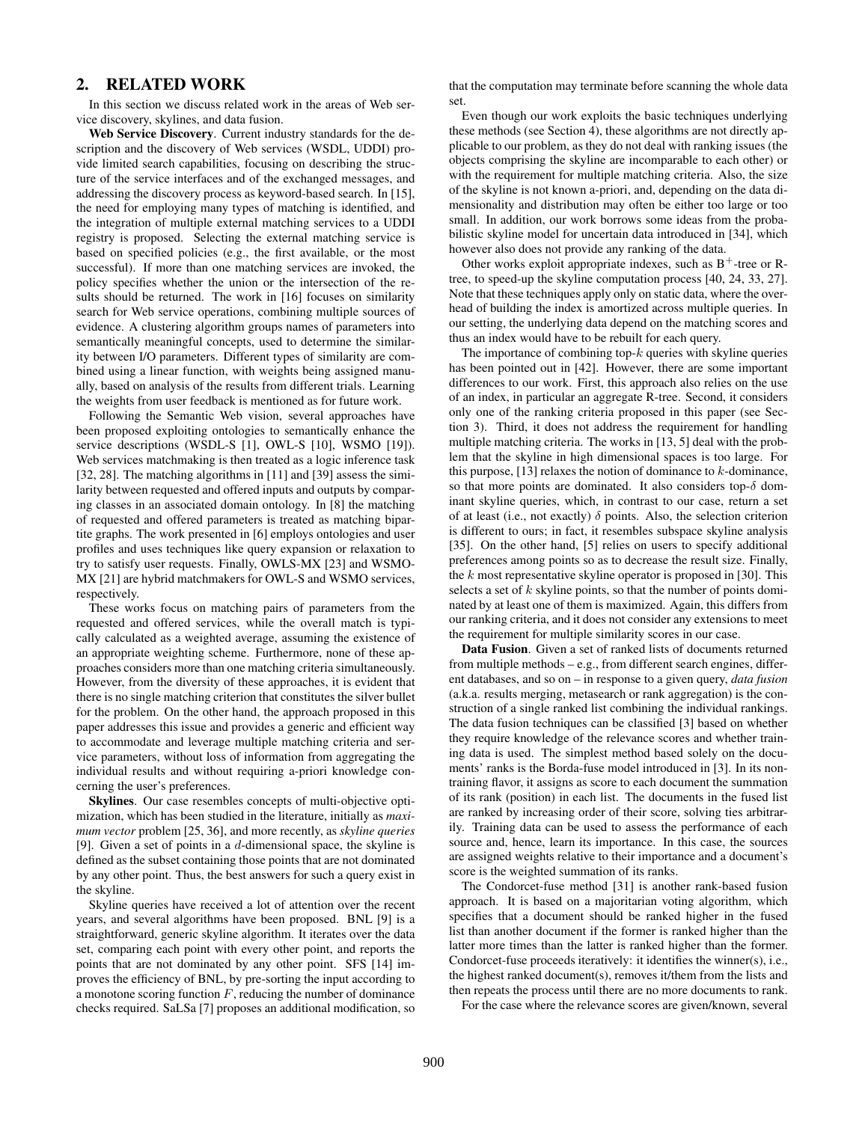# 2. RELATED WORK

In this section we discuss related work in the areas of Web service discovery, skylines, and data fusion.

Web Service Discovery. Current industry standards for the description and the discovery of Web services (WSDL, UDDI) provide limited search capabilities, focusing on describing the structure of the service interfaces and of the exchanged messages, and addressing the discovery process as keyword-based search. In [15], the need for employing many types of matching is identified, and the integration of multiple external matching services to a UDDI registry is proposed. Selecting the external matching service is based on specified policies (e.g., the first available, or the most successful). If more than one matching services are invoked, the policy specifies whether the union or the intersection of the results should be returned. The work in [16] focuses on similarity search for Web service operations, combining multiple sources of evidence. A clustering algorithm groups names of parameters into semantically meaningful concepts, used to determine the similarity between I/O parameters. Different types of similarity are combined using a linear function, with weights being assigned manually, based on analysis of the results from different trials. Learning the weights from user feedback is mentioned as for future work.

Following the Semantic Web vision, several approaches have been proposed exploiting ontologies to semantically enhance the service descriptions (WSDL-S [1], OWL-S [10], WSMO [19]). Web services matchmaking is then treated as a logic inference task [32, 28]. The matching algorithms in [11] and [39] assess the similarity between requested and offered inputs and outputs by comparing classes in an associated domain ontology. In [8] the matching of requested and offered parameters is treated as matching bipartite graphs. The work presented in [6] employs ontologies and user profiles and uses techniques like query expansion or relaxation to try to satisfy user requests. Finally, OWLS-MX [23] and WSMO-MX [21] are hybrid matchmakers for OWL-S and WSMO services, respectively.

These works focus on matching pairs of parameters from the requested and offered services, while the overall match is typically calculated as a weighted average, assuming the existence of an appropriate weighting scheme. Furthermore, none of these approaches considers more than one matching criteria simultaneously. However, from the diversity of these approaches, it is evident that there is no single matching criterion that constitutes the silver bullet for the problem. On the other hand, the approach proposed in this paper addresses this issue and provides a generic and efficient way to accommodate and leverage multiple matching criteria and service parameters, without loss of information from aggregating the individual results and without requiring a-priori knowledge concerning the user's preferences.

Skylines. Our case resembles concepts of multi-objective optimization, which has been studied in the literature, initially as *maximum vector* problem [25, 36], and more recently, as *skyline queries* [9]. Given a set of points in a  $d$ -dimensional space, the skyline is defined as the subset containing those points that are not dominated by any other point. Thus, the best answers for such a query exist in the skyline.

Skyline queries have received a lot of attention over the recent years, and several algorithms have been proposed. BNL [9] is a straightforward, generic skyline algorithm. It iterates over the data set, comparing each point with every other point, and reports the points that are not dominated by any other point. SFS [14] improves the efficiency of BNL, by pre-sorting the input according to a monotone scoring function  $F$ , reducing the number of dominance checks required. SaLSa [7] proposes an additional modification, so that the computation may terminate before scanning the whole data set.

Even though our work exploits the basic techniques underlying these methods (see Section 4), these algorithms are not directly applicable to our problem, as they do not deal with ranking issues (the objects comprising the skyline are incomparable to each other) or with the requirement for multiple matching criteria. Also, the size of the skyline is not known a-priori, and, depending on the data dimensionality and distribution may often be either too large or too small. In addition, our work borrows some ideas from the probabilistic skyline model for uncertain data introduced in [34], which however also does not provide any ranking of the data.

Other works exploit appropriate indexes, such as  $B^+$ -tree or Rtree, to speed-up the skyline computation process [40, 24, 33, 27]. Note that these techniques apply only on static data, where the overhead of building the index is amortized across multiple queries. In our setting, the underlying data depend on the matching scores and thus an index would have to be rebuilt for each query.

The importance of combining top- $k$  queries with skyline queries has been pointed out in [42]. However, there are some important differences to our work. First, this approach also relies on the use of an index, in particular an aggregate R-tree. Second, it considers only one of the ranking criteria proposed in this paper (see Section 3). Third, it does not address the requirement for handling multiple matching criteria. The works in [13, 5] deal with the problem that the skyline in high dimensional spaces is too large. For this purpose,  $[13]$  relaxes the notion of dominance to k-dominance, so that more points are dominated. It also considers top- $\delta$  dominant skyline queries, which, in contrast to our case, return a set of at least (i.e., not exactly)  $\delta$  points. Also, the selection criterion is different to ours; in fact, it resembles subspace skyline analysis [35]. On the other hand, [5] relies on users to specify additional preferences among points so as to decrease the result size. Finally, the  $k$  most representative skyline operator is proposed in [30]. This selects a set of  $k$  skyline points, so that the number of points dominated by at least one of them is maximized. Again, this differs from our ranking criteria, and it does not consider any extensions to meet the requirement for multiple similarity scores in our case.

Data Fusion. Given a set of ranked lists of documents returned from multiple methods – e.g., from different search engines, different databases, and so on – in response to a given query, *data fusion* (a.k.a. results merging, metasearch or rank aggregation) is the construction of a single ranked list combining the individual rankings. The data fusion techniques can be classified [3] based on whether they require knowledge of the relevance scores and whether training data is used. The simplest method based solely on the documents' ranks is the Borda-fuse model introduced in [3]. In its nontraining flavor, it assigns as score to each document the summation of its rank (position) in each list. The documents in the fused list are ranked by increasing order of their score, solving ties arbitrarily. Training data can be used to assess the performance of each source and, hence, learn its importance. In this case, the sources are assigned weights relative to their importance and a document's score is the weighted summation of its ranks.

The Condorcet-fuse method [31] is another rank-based fusion approach. It is based on a majoritarian voting algorithm, which specifies that a document should be ranked higher in the fused list than another document if the former is ranked higher than the latter more times than the latter is ranked higher than the former. Condorcet-fuse proceeds iteratively: it identifies the winner(s), i.e., the highest ranked document(s), removes it/them from the lists and then repeats the process until there are no more documents to rank.

For the case where the relevance scores are given/known, several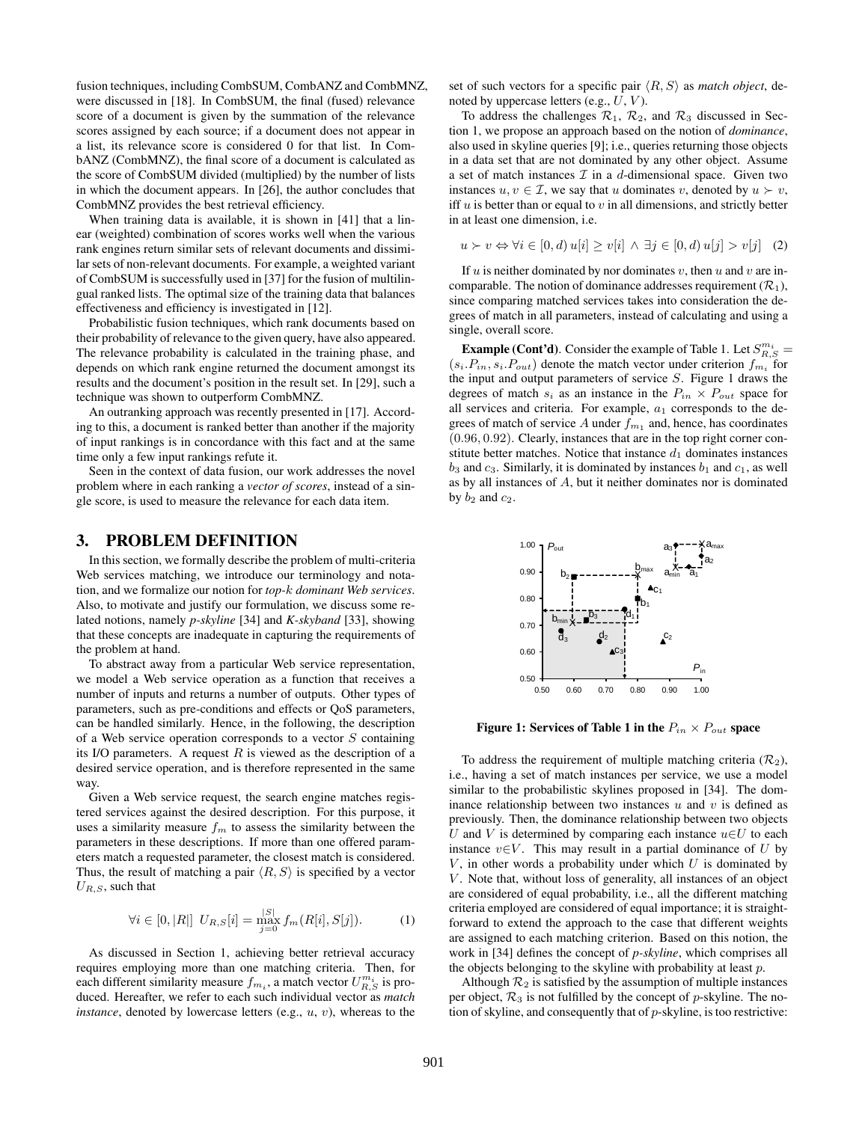fusion techniques, including CombSUM, CombANZ and CombMNZ, were discussed in [18]. In CombSUM, the final (fused) relevance score of a document is given by the summation of the relevance scores assigned by each source; if a document does not appear in a list, its relevance score is considered 0 for that list. In CombANZ (CombMNZ), the final score of a document is calculated as the score of CombSUM divided (multiplied) by the number of lists in which the document appears. In [26], the author concludes that CombMNZ provides the best retrieval efficiency.

When training data is available, it is shown in [41] that a linear (weighted) combination of scores works well when the various rank engines return similar sets of relevant documents and dissimilar sets of non-relevant documents. For example, a weighted variant of CombSUM is successfully used in [37] for the fusion of multilingual ranked lists. The optimal size of the training data that balances effectiveness and efficiency is investigated in [12].

Probabilistic fusion techniques, which rank documents based on their probability of relevance to the given query, have also appeared. The relevance probability is calculated in the training phase, and depends on which rank engine returned the document amongst its results and the document's position in the result set. In [29], such a technique was shown to outperform CombMNZ.

An outranking approach was recently presented in [17]. According to this, a document is ranked better than another if the majority of input rankings is in concordance with this fact and at the same time only a few input rankings refute it.

Seen in the context of data fusion, our work addresses the novel problem where in each ranking a *vector of scores*, instead of a single score, is used to measure the relevance for each data item.

#### 3. PROBLEM DEFINITION

In this section, we formally describe the problem of multi-criteria Web services matching, we introduce our terminology and notation, and we formalize our notion for *top-*k *dominant Web services*. Also, to motivate and justify our formulation, we discuss some related notions, namely *p-skyline* [34] and *K-skyband* [33], showing that these concepts are inadequate in capturing the requirements of the problem at hand.

To abstract away from a particular Web service representation, we model a Web service operation as a function that receives a number of inputs and returns a number of outputs. Other types of parameters, such as pre-conditions and effects or QoS parameters, can be handled similarly. Hence, in the following, the description of a Web service operation corresponds to a vector  $S$  containing its I/O parameters. A request  $R$  is viewed as the description of a desired service operation, and is therefore represented in the same way.

Given a Web service request, the search engine matches registered services against the desired description. For this purpose, it uses a similarity measure  $f_m$  to assess the similarity between the parameters in these descriptions. If more than one offered parameters match a requested parameter, the closest match is considered. Thus, the result of matching a pair  $\langle R, S \rangle$  is specified by a vector  $U_{R,S}$ , such that

$$
\forall i \in [0, |R|] \ U_{R,S}[i] = \max_{j=0}^{|S|} f_m(R[i], S[j]). \tag{1}
$$

As discussed in Section 1, achieving better retrieval accuracy requires employing more than one matching criteria. Then, for each different similarity measure  $f_{m_i}$ , a match vector  $U_{R,S}^{m_i}$  is produced. Hereafter, we refer to each such individual vector as *match instance*, denoted by lowercase letters (e.g., u, v), whereas to the set of such vectors for a specific pair  $\langle R, S \rangle$  as *match object*, denoted by uppercase letters (e.g.,  $U$ ,  $V$ ).

To address the challenges  $\mathcal{R}_1$ ,  $\mathcal{R}_2$ , and  $\mathcal{R}_3$  discussed in Section 1, we propose an approach based on the notion of *dominance*, also used in skyline queries [9]; i.e., queries returning those objects in a data set that are not dominated by any other object. Assume a set of match instances  $\mathcal I$  in a d-dimensional space. Given two instances  $u, v \in \mathcal{I}$ , we say that u dominates v, denoted by  $u \succ v$ , iff  $u$  is better than or equal to  $v$  in all dimensions, and strictly better in at least one dimension, i.e.

$$
u \succ v \Leftrightarrow \forall i \in [0, d) \ u[i] \ge v[i] \land \exists j \in [0, d) \ u[j] > v[j] \tag{2}
$$

If  $u$  is neither dominated by nor dominates  $v$ , then  $u$  and  $v$  are incomparable. The notion of dominance addresses requirement  $(\mathcal{R}_1)$ , since comparing matched services takes into consideration the degrees of match in all parameters, instead of calculating and using a single, overall score.

**Example (Cont'd)**. Consider the example of Table 1. Let  $S_{R,S}^{m_i}$  =  $(s_i.P_{in}, s_i.P_{out})$  denote the match vector under criterion  $f_{m_i}$  for the input and output parameters of service S. Figure 1 draws the degrees of match  $s_i$  as an instance in the  $P_{in} \times P_{out}$  space for all services and criteria. For example,  $a_1$  corresponds to the degrees of match of service A under  $f_{m_1}$  and, hence, has coordinates (0.96, 0.92). Clearly, instances that are in the top right corner constitute better matches. Notice that instance  $d_1$  dominates instances  $b_3$  and  $c_3$ . Similarly, it is dominated by instances  $b_1$  and  $c_1$ , as well as by all instances of A, but it neither dominates nor is dominated by  $b_2$  and  $c_2$ .



Figure 1: Services of Table 1 in the  $P_{in} \times P_{out}$  space

To address the requirement of multiple matching criteria  $(\mathcal{R}_2)$ , i.e., having a set of match instances per service, we use a model similar to the probabilistic skylines proposed in [34]. The dominance relationship between two instances  $u$  and  $v$  is defined as previously. Then, the dominance relationship between two objects U and V is determined by comparing each instance  $u \in U$  to each instance  $v \in V$ . This may result in a partial dominance of U by  $V$ , in other words a probability under which  $U$  is dominated by  $V$ . Note that, without loss of generality, all instances of an object are considered of equal probability, i.e., all the different matching criteria employed are considered of equal importance; it is straightforward to extend the approach to the case that different weights are assigned to each matching criterion. Based on this notion, the work in [34] defines the concept of *p-skyline*, which comprises all the objects belonging to the skyline with probability at least p.

Although  $\mathcal{R}_2$  is satisfied by the assumption of multiple instances per object,  $\mathcal{R}_3$  is not fulfilled by the concept of p-skyline. The notion of skyline, and consequently that of p-skyline, is too restrictive: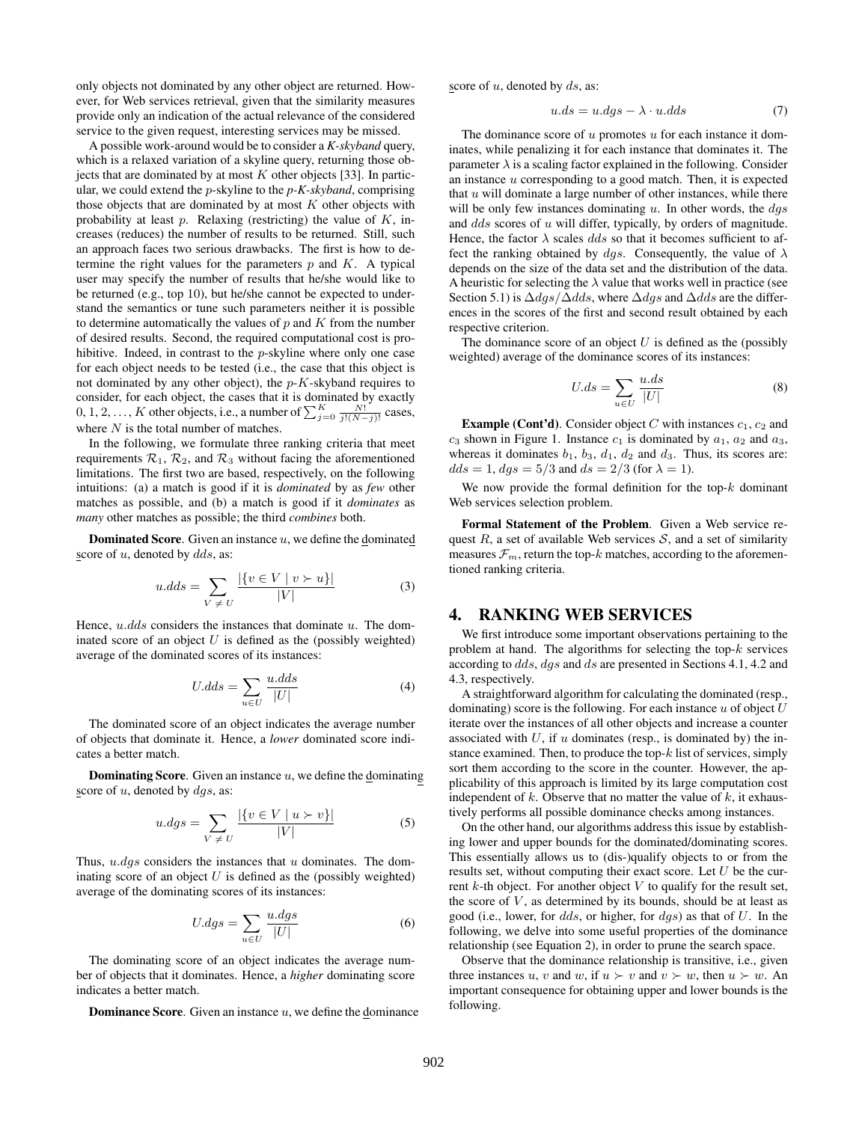only objects not dominated by any other object are returned. However, for Web services retrieval, given that the similarity measures provide only an indication of the actual relevance of the considered service to the given request, interesting services may be missed.

A possible work-around would be to consider a *K-skyband* query, which is a relaxed variation of a skyline query, returning those objects that are dominated by at most  $K$  other objects [33]. In particular, we could extend the p-skyline to the *p-K-skyband*, comprising those objects that are dominated by at most  $K$  other objects with probability at least  $p$ . Relaxing (restricting) the value of  $K$ , increases (reduces) the number of results to be returned. Still, such an approach faces two serious drawbacks. The first is how to determine the right values for the parameters  $p$  and  $K$ . A typical user may specify the number of results that he/she would like to be returned (e.g., top 10), but he/she cannot be expected to understand the semantics or tune such parameters neither it is possible to determine automatically the values of  $p$  and  $K$  from the number of desired results. Second, the required computational cost is prohibitive. Indeed, in contrast to the p-skyline where only one case for each object needs to be tested (i.e., the case that this object is not dominated by any other object), the  $p-K$ -skyband requires to consider, for each object, the cases that it is dominated by exactly 0, 1, 2, ..., K other objects, i.e., a number of  $\sum_{j=0}^{K} \frac{N!}{j!(N-j)!}$  cases, where  $N$  is the total number of matches.

In the following, we formulate three ranking criteria that meet requirements  $\mathcal{R}_1$ ,  $\mathcal{R}_2$ , and  $\mathcal{R}_3$  without facing the aforementioned limitations. The first two are based, respectively, on the following intuitions: (a) a match is good if it is *dominated* by as *few* other matches as possible, and (b) a match is good if it *dominates* as *many* other matches as possible; the third *combines* both.

**Dominated Score.** Given an instance  $u$ , we define the dominated score of  $u$ , denoted by  $dds$ , as:

$$
u.dds = \sum_{V \neq U} \frac{|\{v \in V \mid v \succ u\}|}{|V|} \tag{3}
$$

Hence,  $u$ .dds considers the instances that dominate  $u$ . The dominated score of an object  $U$  is defined as the (possibly weighted) average of the dominated scores of its instances:

$$
U.dds = \sum_{u \in U} \frac{u.dds}{|U|} \tag{4}
$$

The dominated score of an object indicates the average number of objects that dominate it. Hence, a *lower* dominated score indicates a better match.

**Dominating Score.** Given an instance  $u$ , we define the dominating score of  $u$ , denoted by  $dgs$ , as:

$$
u.dgs = \sum_{V \neq U} \frac{|\{v \in V \mid u \succ v\}|}{|V|} \tag{5}
$$

Thus,  $u.dgs$  considers the instances that  $u$  dominates. The dominating score of an object  $U$  is defined as the (possibly weighted) average of the dominating scores of its instances:

$$
U.dgs = \sum_{u \in U} \frac{u.dgs}{|U|} \tag{6}
$$

The dominating score of an object indicates the average number of objects that it dominates. Hence, a *higher* dominating score indicates a better match.

**Dominance Score.** Given an instance  $u$ , we define the dominance

score of  $u$ , denoted by  $ds$ , as:

$$
u.ds = u.dgs - \lambda \cdot u.dds \tag{7}
$$

The dominance score of  $u$  promotes  $u$  for each instance it dominates, while penalizing it for each instance that dominates it. The parameter  $\lambda$  is a scaling factor explained in the following. Consider an instance  $u$  corresponding to a good match. Then, it is expected that  $u$  will dominate a large number of other instances, while there will be only few instances dominating  $u$ . In other words, the  $dgs$ and dds scores of u will differ, typically, by orders of magnitude. Hence, the factor  $\lambda$  scales dds so that it becomes sufficient to affect the ranking obtained by dgs. Consequently, the value of  $\lambda$ depends on the size of the data set and the distribution of the data. A heuristic for selecting the  $\lambda$  value that works well in practice (see Section 5.1) is  $\Delta dgs/\Delta dds$ , where  $\Delta dgs$  and  $\Delta dds$  are the differences in the scores of the first and second result obtained by each respective criterion.

The dominance score of an object  $U$  is defined as the (possibly weighted) average of the dominance scores of its instances:

$$
U.ds = \sum_{u \in U} \frac{u.ds}{|U|} \tag{8}
$$

**Example (Cont'd).** Consider object C with instances  $c_1$ ,  $c_2$  and  $c_3$  shown in Figure 1. Instance  $c_1$  is dominated by  $a_1$ ,  $a_2$  and  $a_3$ , whereas it dominates  $b_1$ ,  $b_3$ ,  $d_1$ ,  $d_2$  and  $d_3$ . Thus, its scores are:  $dds = 1, dgs = 5/3$  and  $ds = 2/3$  (for  $\lambda = 1$ ).

We now provide the formal definition for the top- $k$  dominant Web services selection problem.

Formal Statement of the Problem. Given a Web service request  $R$ , a set of available Web services  $S$ , and a set of similarity measures  $\mathcal{F}_m$ , return the top-k matches, according to the aforementioned ranking criteria.

## 4. RANKING WEB SERVICES

We first introduce some important observations pertaining to the problem at hand. The algorithms for selecting the top- $k$  services according to dds, dgs and ds are presented in Sections 4.1, 4.2 and 4.3, respectively.

A straightforward algorithm for calculating the dominated (resp., dominating) score is the following. For each instance  $u$  of object  $U$ iterate over the instances of all other objects and increase a counter associated with  $U$ , if  $u$  dominates (resp., is dominated by) the instance examined. Then, to produce the top- $k$  list of services, simply sort them according to the score in the counter. However, the applicability of this approach is limited by its large computation cost independent of  $k$ . Observe that no matter the value of  $k$ , it exhaustively performs all possible dominance checks among instances.

On the other hand, our algorithms address this issue by establishing lower and upper bounds for the dominated/dominating scores. This essentially allows us to (dis-)qualify objects to or from the results set, without computing their exact score. Let  $U$  be the current  $k$ -th object. For another object  $V$  to qualify for the result set, the score of  $V$ , as determined by its bounds, should be at least as good (i.e., lower, for dds, or higher, for  $dqs$ ) as that of U. In the following, we delve into some useful properties of the dominance relationship (see Equation 2), in order to prune the search space.

Observe that the dominance relationship is transitive, i.e., given three instances u, v and w, if  $u \succ v$  and  $v \succ w$ , then  $u \succ w$ . An important consequence for obtaining upper and lower bounds is the following.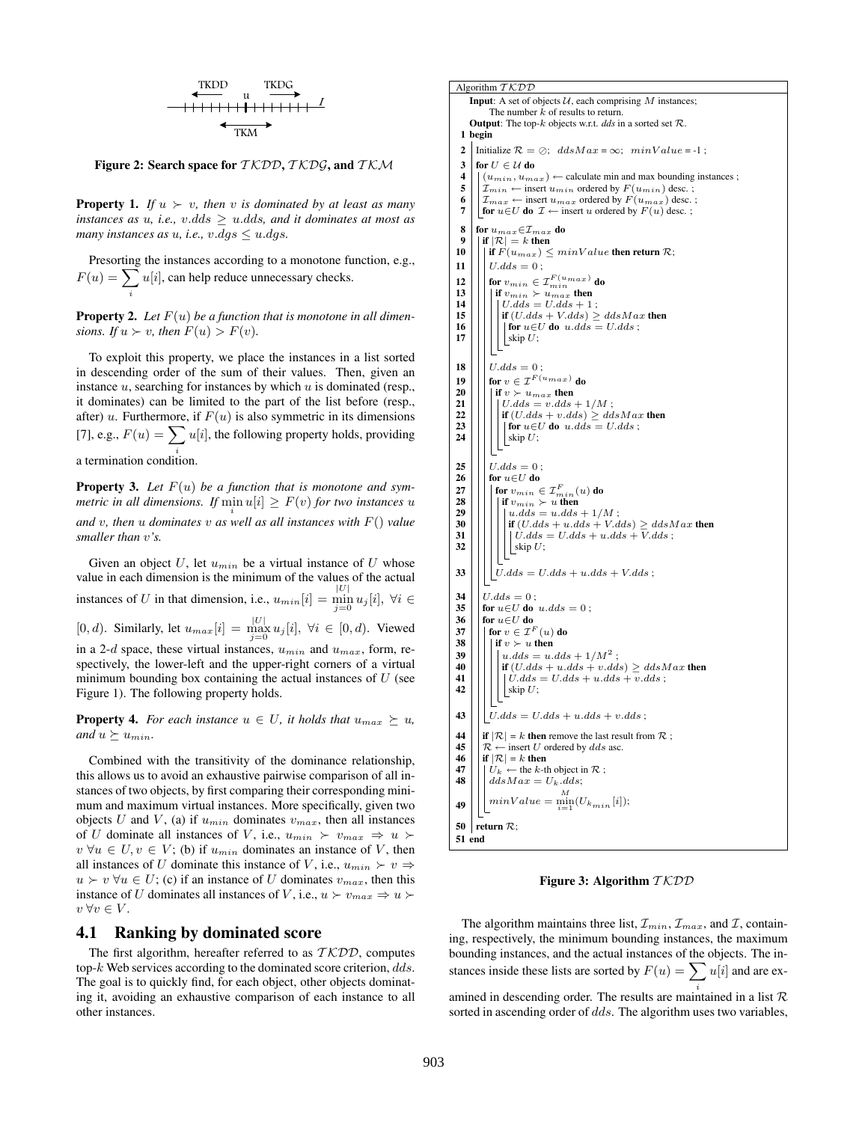$$
\begin{array}{c}\n\begin{array}{c}\n\text{TKDD} & \text{TKDG} \\
\hline\n\end{array} \\
\longrightarrow\n\begin{array}{c}\n\text{HHDG} \\
\hline\n\end{array} \\
\begin{array}{c}\n\text{HMO} \\
\hline\n\end{array}
$$

Figure 2: Search space for  $TKDD, TKDS$ , and  $TKM$ 

**Property 1.** *If*  $u \succ v$ , then v *is dominated by at least as many instances as u, i.e., v.dds*  $\geq u$ *.dds, and it dominates at most as many instances as u, i.e., v.dgs*  $\leq u.dgs$ .

Presorting the instances according to a monotone function, e.g.,  $F(u) = \sum u[i]$ , can help reduce unnecessary checks.

i

**Property 2.** Let  $F(u)$  be a function that is monotone in all dimen*sions.* If  $u \succ v$ , then  $F(u) > F(v)$ .

To exploit this property, we place the instances in a list sorted in descending order of the sum of their values. Then, given an instance  $u$ , searching for instances by which  $u$  is dominated (resp., it dominates) can be limited to the part of the list before (resp., after) u. Furthermore, if  $F(u)$  is also symmetric in its dimensions [7], e.g.,  $F(u) = \sum u[i]$ , the following property holds, providing i a termination condition.

Property 3. *Let* F(u) *be a function that is monotone and symmetric in all dimensions.* If  $\min_i u[i] \geq F(v)$  for two instances u *and* v*, then* u *dominates* v *as well as all instances with* F() *value smaller than* v*'s.*

Given an object  $U$ , let  $u_{min}$  be a virtual instance of  $U$  whose value in each dimension is the minimum of the values of the actual instances of U in that dimension, i.e.,  $u_{min}[i] = \min_{j=0}^{|U|} u_j[i]$ ,  $\forall i \in$ [0, d). Similarly, let  $u_{max}[i] = \max_{j=0}^{|U|} u_j[i], \ \forall i \in [0, d)$ . Viewed in a 2-d space, these virtual instances,  $u_{min}$  and  $u_{max}$ , form, respectively, the lower-left and the upper-right corners of a virtual minimum bounding box containing the actual instances of  $U$  (see Figure 1). The following property holds.

**Property 4.** *For each instance*  $u \in U$ *, it holds that*  $u_{max} \succeq u$ *, and*  $u \succeq u_{min}$ .

Combined with the transitivity of the dominance relationship, this allows us to avoid an exhaustive pairwise comparison of all instances of two objects, by first comparing their corresponding minimum and maximum virtual instances. More specifically, given two objects U and V, (a) if  $u_{min}$  dominates  $v_{max}$ , then all instances of U dominate all instances of V, i.e.,  $u_{min} \succ v_{max} \Rightarrow u \succ$  $v \forall u \in U, v \in V$ ; (b) if  $u_{min}$  dominates an instance of V, then all instances of U dominate this instance of V, i.e.,  $u_{min} \succ v \Rightarrow$  $u \succ v \,\forall u \in U$ ; (c) if an instance of U dominates  $v_{max}$ , then this instance of U dominates all instances of V, i.e.,  $u \succ v_{max} \Rightarrow u \succ v_{max}$  $v \,\forall v \in V.$ 

#### 4.1 Ranking by dominated score

The first algorithm, hereafter referred to as  $TKDD$ , computes top- $k$ . Web services according to the dominated score criterion,  $dds$ . The goal is to quickly find, for each object, other objects dominating it, avoiding an exhaustive comparison of each instance to all other instances.

```
Algorithm TKDDInput: A set of objects U, each comprising M instances;
                   The number k of results to return.
        Output: The top-k objects w.r.t. dds in a sorted set R.
   1 begin
   2 Initialize \mathcal{R} = \emptyset; ddsMax = \infty; minValue = -1;
   3 for U \in \mathcal{U} do
   4 \left\| \begin{matrix} (u_{min}, u_{max}) \leftarrow \text{calculate min} \ \text{and max bounding instances} \\ \mathcal{I}_{min} \leftarrow \text{insert } u_{min} \text{ ordered by } F(u_{min}) \text{ desc.}; \end{matrix} \right\|5 \n\begin{array}{l}\n5 \n\end{array}\n\Big\} \n\frac{T_{min}}{T_{max}} \leftarrow \text{insert } u_{max} \text{ ordered by } F(u_{min}) \text{ desc.};<br>
6 \n\begin{array}{l}\n\end{array}\n\Big\} \n\frac{T_{max}}{T_{max}} \leftarrow \text{insert } u_{max} \text{ ordered by } F(u_{max}) \text{ desc.};7 | for u \in U do \mathcal{I} \leftarrow insert u ordered by F(u) desc. ;
   8 for u_{max}∈\mathcal{I}_{max} do<br>9 | if |R| = k then
             | if |\mathcal{R}| = k then
10 | | if F(u_{max}) \leq minValue then return \mathcal{R};
11 \mid \big| \big| U.dds = 0;
 12 \big|\big|\big| for v_{min} \in \mathcal{I}^{F(u_{max})}_{min} do
13 \left|\left|\right|\right| if v_{min} > u_{max}^{min} then
14 \left|\left|\left|\left|\right| \right| \right| U. dds = U. dds + 1 ;<br>15 \left|\left|\left|\left|\right| \right| GL(ds + V. dds) \right| >if \left|\left|\left|\left|\left|\frac{\text{if } (U.dds + V.dds)}{\text{for } u \in U \text{ do } u \text{ dds}}\right|\right|\right|\right|\mid for u{\in}U do \;u.dds\,=\,U.dds ;
17 |||||| skip U;
18 \mid \big| U. dds = 0;
 19 | | for v \in \mathcal{I}^{F(u_{max})} do
20 \left|\left|\left|\left|\begin{array}{c} \text{if } v \succ u_{max} \text{ then }\ 21 \end{array}\right|\right|\right| \left|\bigcup dds = v.dds\right|21 \left|\left|\left|\left|\left| \frac{U.dds - v.dds + 1/M}{\mathbf{if}(U.dds + v.dds)} \right|\right|\right|\right|22 i if (U.dds + v.dds) \geq ddsMax then<br>23 i if or u \in U do u.dds = U.dds;
23 \begin{array}{|c|c|c|c|c|c|} \hline \end{array} for u\in U do u.dds = U.dds;<br>24 \begin{array}{|c|c|c|c|c|c|} \hline \end{array} skip U;
                          \lfloor \text{skip } U; \rfloor\begin{array}{c|c} \textbf{25} & U.dds = 0 \text{ ;} \\ \textbf{26} & \textbf{for } u \in U \textbf{ do} \end{array}\begin{array}{c|c} 26 & \text{for } u \in U \text{ do} \\ 27 & \text{for } v_{min} \in \end{array}27 \big|\, \big|\, \big|\, for v_{min}\in {\mathcal{I}}_{min}^F(u) do
 28 \Big|\Big|\Big|\Big|\Big|\ \text{if } v_{min} \succ u \text{ then}<br>29 \Big|\Big|\Big|\Big|\Big|\Big|u.dds = u.dds + 1/M ;30 | | | | | | if (U.dds + u.dds + V.dds) \geq ddsMax then
 31 \mid \mid \mid \mid \mid \mid U.dds = U.dds + u.dds + V.dds;
32 \left|\left|\left|\left|\left|\right|\right|\right|\right| \right| \leq \sup_{x \in \mathcal{X}} U;33 | | | |U.dds = U.dds + u.dds + V.dds;
34 \mid U.dds = 0 ;<br>35 \mid for u \in U do
35 for u \in U do u.dds = 0;<br>36 for u \in U do
36 for u \in U do<br>37 for v \in \mathcal{I}^137 \left|\right| \left|\begin{array}{c} \text{for } v \in \mathcal{I}^F(u) \text{ do} \\ \text{if } v \succ u \text{ then} \end{array}\right|38 \left|\left|\left|\begin{array}{c} \text{if } v \succ u \text{ then } \\ u \cdot d ds = u \end{array}\right|\right|39 | | | | u.dds = u.dds + 1/M^2;
40 \left|\left|\left|\left|\left|\left|\frac{u}{dds} + u\right|ds + v\right|ds\right|\right|\right| \geq ddsMax then<br>41 \left|\left|\left|\left|\frac{u}{dds} - U\right|ds + u\right|ds + v\right|ds\right|\vert U. dds = U. dds + u. dds + v. dds;
42 |||||| skip U;
43 || | U. dds = U. dds + u. dds + v. dds ;44 \left| \begin{array}{l} \text{if } |\mathcal{R}| = k \text{ then remove the last result from } \mathcal{R} \\ \mathcal{R} \leftarrow \text{insert } U \text{ ordered by } ds \text{ asc.} \end{array} \right|45 \begin{bmatrix} \mathcal{R} \leftarrow \text{insert } U \text{ ordered by } ds \text{ asc.} \\ \text{if } |\mathcal{R}| = k \text{ then} \end{bmatrix}46 \left|\begin{array}{l} \text{if } |\mathcal{R}| = k \text{ then} \\ \left|\begin{array}{l} U_k \leftarrow \text{the } k \text{-th} \end{array}\right|\end{array}\right|47 \left|\left| \begin{array}{c} U_k \leftarrow the k-th object in \mathcal{R};<br>48 \left| \begin{array}{c} d \text{d} s \text{d} a x = U_L \text{d} d s \end{array} \right|\right|ddsMax = U_k.dds;
                    minValue = \min_{i=1}^{M} (U_{k_{min}}[i]);49
 50 \vert return \mathcal{R}:
51 end
```
Figure 3: Algorithm  $TKDD$ 

The algorithm maintains three list,  $\mathcal{I}_{min}, \mathcal{I}_{max}$ , and  $\mathcal{I}$ , containing, respectively, the minimum bounding instances, the maximum bounding instances, and the actual instances of the objects. The instances inside these lists are sorted by  $F(u) = \sum u[i]$  and are examined in descending order. The results are maintained in a list  $\mathcal R$ sorted in ascending order of *dds*. The algorithm uses two variables,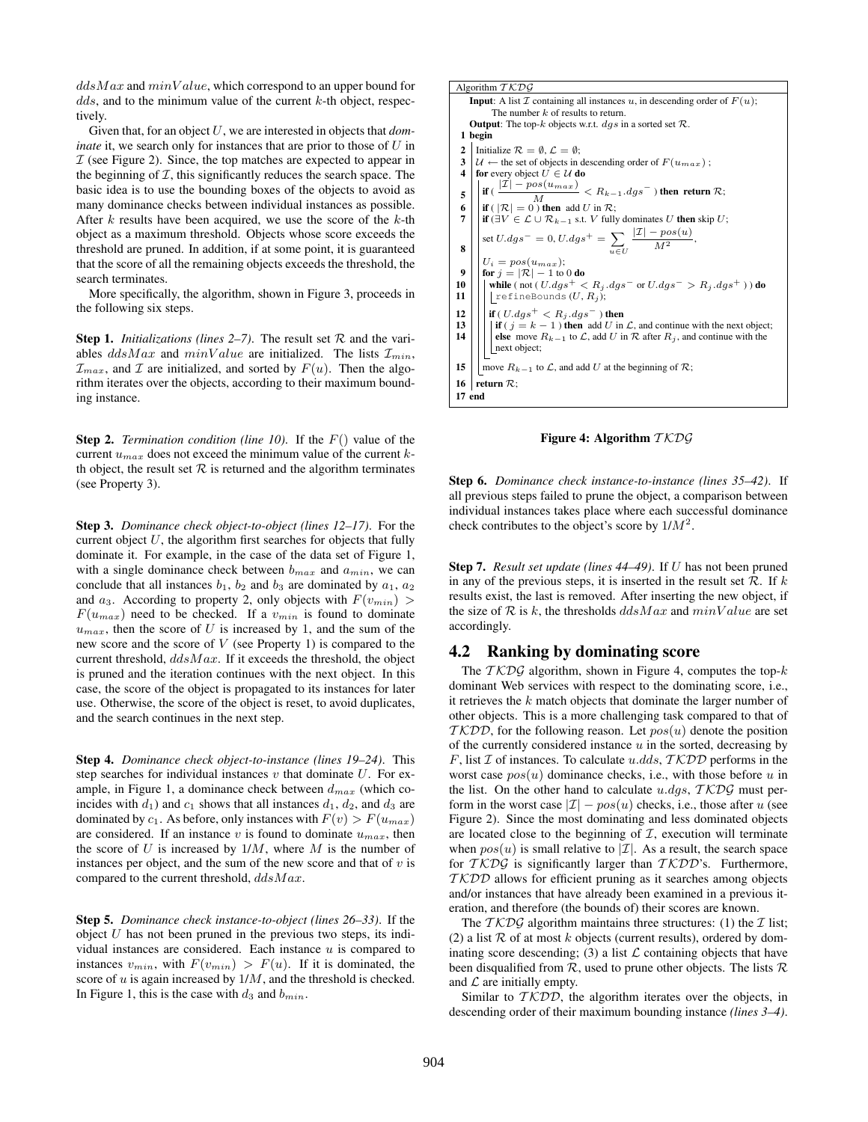$ddsMax$  and  $minValue$ , which correspond to an upper bound for  $dds$ , and to the minimum value of the current  $k$ -th object, respectively.

Given that, for an object U, we are interested in objects that *dominate* it, we search only for instances that are prior to those of U in  $I$  (see Figure 2). Since, the top matches are expected to appear in the beginning of  $I$ , this significantly reduces the search space. The basic idea is to use the bounding boxes of the objects to avoid as many dominance checks between individual instances as possible. After  $k$  results have been acquired, we use the score of the  $k$ -th object as a maximum threshold. Objects whose score exceeds the threshold are pruned. In addition, if at some point, it is guaranteed that the score of all the remaining objects exceeds the threshold, the search terminates.

More specifically, the algorithm, shown in Figure 3, proceeds in the following six steps.

**Step 1.** *Initializations (lines 2–7)*. The result set  $\mathcal{R}$  and the variables  $ddsMax$  and  $minValue$  are initialized. The lists  $\mathcal{I}_{min}$ ,  $\mathcal{I}_{max}$ , and  $\mathcal I$  are initialized, and sorted by  $F(u)$ . Then the algorithm iterates over the objects, according to their maximum bounding instance.

**Step 2.** *Termination condition (line 10)*. If the  $F()$  value of the current  $u_{max}$  does not exceed the minimum value of the current kth object, the result set  $R$  is returned and the algorithm terminates (see Property 3).

Step 3. *Dominance check object-to-object (lines 12–17)*. For the current object  $U$ , the algorithm first searches for objects that fully dominate it. For example, in the case of the data set of Figure 1, with a single dominance check between  $b_{max}$  and  $a_{min}$ , we can conclude that all instances  $b_1$ ,  $b_2$  and  $b_3$  are dominated by  $a_1$ ,  $a_2$ and  $a_3$ . According to property 2, only objects with  $F(v_{min}) >$  $F(u_{max})$  need to be checked. If a  $v_{min}$  is found to dominate  $u_{max}$ , then the score of U is increased by 1, and the sum of the new score and the score of  $V$  (see Property 1) is compared to the current threshold,  $ddsMax$ . If it exceeds the threshold, the object is pruned and the iteration continues with the next object. In this case, the score of the object is propagated to its instances for later use. Otherwise, the score of the object is reset, to avoid duplicates, and the search continues in the next step.

Step 4. *Dominance check object-to-instance (lines 19–24)*. This step searches for individual instances  $v$  that dominate  $U$ . For example, in Figure 1, a dominance check between  $d_{max}$  (which coincides with  $d_1$ ) and  $c_1$  shows that all instances  $d_1$ ,  $d_2$ , and  $d_3$  are dominated by  $c_1$ . As before, only instances with  $F(v) > F(u_{max})$ are considered. If an instance v is found to dominate  $u_{max}$ , then the score of  $U$  is increased by  $1/M$ , where  $M$  is the number of instances per object, and the sum of the new score and that of  $v$  is compared to the current threshold,  $ddsMax$ .

Step 5. *Dominance check instance-to-object (lines 26–33)*. If the object  $U$  has not been pruned in the previous two steps, its individual instances are considered. Each instance  $u$  is compared to instances  $v_{min}$ , with  $F(v_{min}) > F(u)$ . If it is dominated, the score of  $u$  is again increased by  $1/M$ , and the threshold is checked. In Figure 1, this is the case with  $d_3$  and  $b_{min}$ .

| Algorithm $TKDG$                                                                                                 |  |  |  |  |  |  |
|------------------------------------------------------------------------------------------------------------------|--|--|--|--|--|--|
| <b>Input:</b> A list $\mathcal I$ containing all instances u, in descending order of $F(u)$ ;                    |  |  |  |  |  |  |
| The number $k$ of results to return.                                                                             |  |  |  |  |  |  |
| <b>Output:</b> The top-k objects w.r.t. $dqs$ in a sorted set $\mathcal{R}$ .                                    |  |  |  |  |  |  |
| 1 begin                                                                                                          |  |  |  |  |  |  |
| Initialize $\mathcal{R} = \emptyset$ , $\mathcal{L} = \emptyset$ ;<br>2                                          |  |  |  |  |  |  |
| 3<br>$\mathcal{U} \leftarrow$ the set of objects in descending order of $F(u_{max})$ ;                           |  |  |  |  |  |  |
| for every object $U \in \mathcal{U}$ do<br>4                                                                     |  |  |  |  |  |  |
| if ( $\frac{ \mathcal{I}  - pos(u_{max})}{M} < R_{k-1}.dgs$ ) then return $\mathcal{R}$ ;                        |  |  |  |  |  |  |
| 5                                                                                                                |  |  |  |  |  |  |
| $\left  \text{ if } \left( \left  \mathcal{R} \right  = 0 \right) \right $ then add U in $\mathcal{R}$ ;<br>6    |  |  |  |  |  |  |
| 7<br><b>if</b> ( $\exists V \in \mathcal{L} \cup \mathcal{R}_{k-1}$ s.t. V fully dominates U <b>then</b> skip U; |  |  |  |  |  |  |
| set $U.dgs^- = 0$ , $U.dgs^+ = \sum \frac{ \mathcal{I}  - pos(u)}{M^2}$ ,                                        |  |  |  |  |  |  |
| 8                                                                                                                |  |  |  |  |  |  |
| $U_i = pos(u_{max});$                                                                                            |  |  |  |  |  |  |
| for $j =  \mathcal{R}  - 1$ to 0 do<br>9                                                                         |  |  |  |  |  |  |
| while (not (U.dgs <sup>+</sup> < $R_i.dgs^-$ or $U.dgs^- > R_i.dgs^+$ )) do<br>10                                |  |  |  |  |  |  |
| 11<br>refineBounds $(U, R_i)$ ;                                                                                  |  |  |  |  |  |  |
| if ( <i>U.dgs</i> <sup>+</sup> $\lt R_i.dgs$ <sup>-</sup> ) then<br>12                                           |  |  |  |  |  |  |
| 13<br><b>if</b> ( $j = k - 1$ ) then add U in L, and continue with the next object;                              |  |  |  |  |  |  |
| else move $R_{k-1}$ to $\mathcal{L}$ , add U in $\mathcal{R}$ after $R_i$ , and continue with the<br>14          |  |  |  |  |  |  |
| next object;                                                                                                     |  |  |  |  |  |  |
|                                                                                                                  |  |  |  |  |  |  |
| move $R_{k-1}$ to $\mathcal{L}$ , and add U at the beginning of $\mathcal{R}$ ;<br>15                            |  |  |  |  |  |  |
| return $\mathcal{R}$ :<br>16                                                                                     |  |  |  |  |  |  |
| 17 end                                                                                                           |  |  |  |  |  |  |
|                                                                                                                  |  |  |  |  |  |  |

Figure 4: Algorithm  $TKDG$ 

Step 6. *Dominance check instance-to-instance (lines 35–42)*. If all previous steps failed to prune the object, a comparison between individual instances takes place where each successful dominance check contributes to the object's score by  $1/M^2$ .

Step 7. *Result set update (lines 44–49)*. If U has not been pruned in any of the previous steps, it is inserted in the result set  $R$ . If k results exist, the last is removed. After inserting the new object, if the size of  $R$  is k, the thresholds  $ddsMax$  and  $minValue$  are set accordingly.

## 4.2 Ranking by dominating score

The  $TKDS$  algorithm, shown in Figure 4, computes the top- $k$ dominant Web services with respect to the dominating score, i.e., it retrieves the  $k$  match objects that dominate the larger number of other objects. This is a more challenging task compared to that of  $TKDD$ , for the following reason. Let  $pos(u)$  denote the position of the currently considered instance  $u$  in the sorted, decreasing by F, list  $I$  of instances. To calculate u.dds,  $TKDD$  performs in the worst case  $pos(u)$  dominance checks, i.e., with those before u in the list. On the other hand to calculate u.dqs,  $TKDS$  must perform in the worst case  $|\mathcal{I}| - pos(u)$  checks, i.e., those after u (see Figure 2). Since the most dominating and less dominated objects are located close to the beginning of  $I$ , execution will terminate when  $pos(u)$  is small relative to  $|\mathcal{I}|$ . As a result, the search space for  $TKDS$  is significantly larger than  $TKDD$ 's. Furthermore,  $TKDD$  allows for efficient pruning as it searches among objects and/or instances that have already been examined in a previous iteration, and therefore (the bounds of) their scores are known.

The  $TKD\mathcal{G}$  algorithm maintains three structures: (1) the  $\mathcal I$  list; (2) a list  $R$  of at most  $k$  objects (current results), ordered by dominating score descending; (3) a list  $\mathcal L$  containing objects that have been disqualified from  $\mathcal{R}$ , used to prune other objects. The lists  $\mathcal{R}$ and  $\mathcal L$  are initially empty.

Similar to  $TKDD$ , the algorithm iterates over the objects, in descending order of their maximum bounding instance *(lines 3–4)*.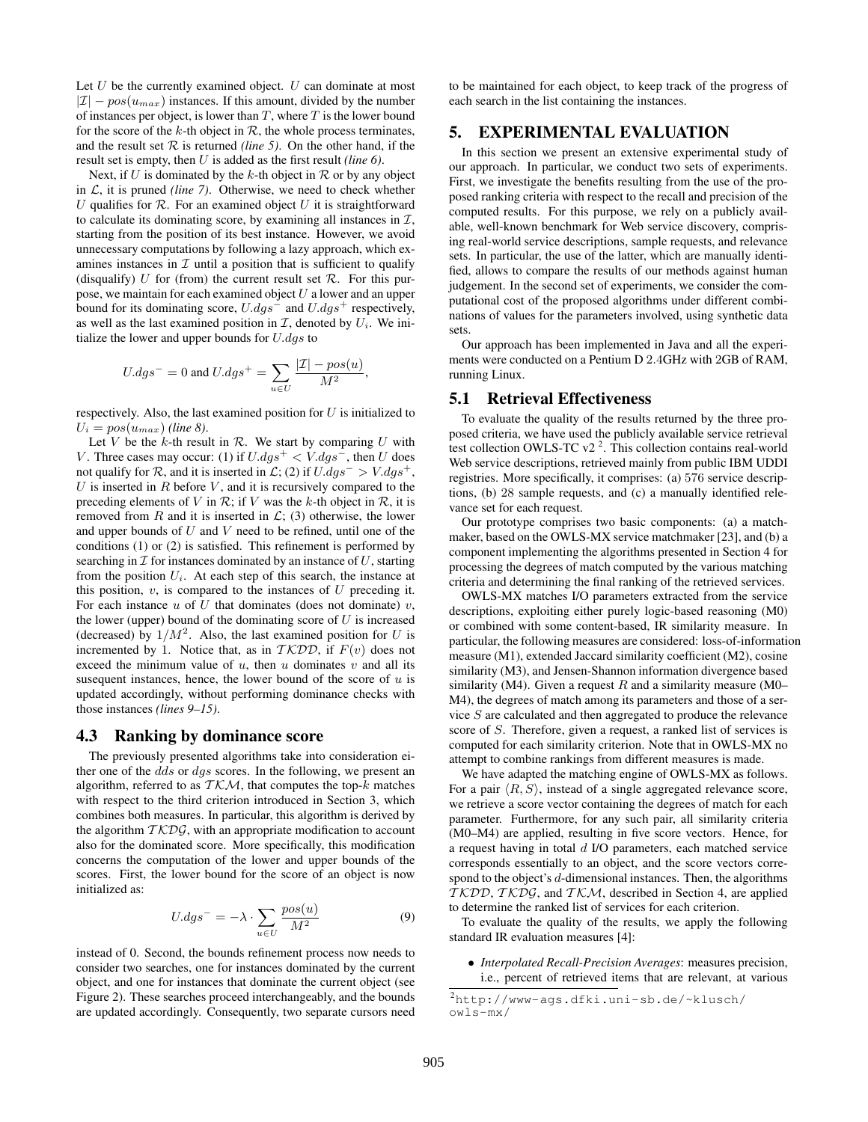Let  $U$  be the currently examined object.  $U$  can dominate at most  $|\mathcal{I}| - pos(u_{max})$  instances. If this amount, divided by the number of instances per object, is lower than  $T$ , where  $T$  is the lower bound for the score of the k-th object in  $R$ , the whole process terminates, and the result set  $R$  is returned *(line 5)*. On the other hand, if the result set is empty, then U is added as the first result *(line 6)*.

Next, if U is dominated by the k-th object in  $\mathcal R$  or by any object in  $\mathcal{L}$ , it is pruned *(line 7)*. Otherwise, we need to check whether U qualifies for  $R$ . For an examined object U it is straightforward to calculate its dominating score, by examining all instances in  $\mathcal{I}$ , starting from the position of its best instance. However, we avoid unnecessary computations by following a lazy approach, which examines instances in  $\mathcal I$  until a position that is sufficient to qualify (disqualify) U for (from) the current result set  $\mathcal{R}$ . For this purpose, we maintain for each examined object  $U$  a lower and an upper bound for its dominating score,  $U.dgs^-$  and  $U.dgs^+$  respectively, as well as the last examined position in  $\mathcal{I}$ , denoted by  $U_i$ . We initialize the lower and upper bounds for  $U.dqs$  to

$$
U.dgs^{-} = 0 \text{ and } U.dgs^{+} = \sum_{u \in U} \frac{|\mathcal{I}| - pos(u)}{M^2}
$$

,

respectively. Also, the last examined position for  $U$  is initialized to  $U_i = pos(u_{max})$  *(line 8).* 

Let V be the k-th result in  $\mathcal{R}$ . We start by comparing U with V. Three cases may occur: (1) if  $U.dgs^+ < V.dgs^-$ , then U does not qualify for R, and it is inserted in  $\mathcal{L}$ ; (2) if  $U.dqs^{-} > V.dqs^{+}$ ,  $U$  is inserted in  $R$  before  $V$ , and it is recursively compared to the preceding elements of V in  $\mathcal{R}$ ; if V was the k-th object in  $\mathcal{R}$ , it is removed from R and it is inserted in  $\mathcal{L}$ ; (3) otherwise, the lower and upper bounds of  $U$  and  $V$  need to be refined, until one of the conditions (1) or (2) is satisfied. This refinement is performed by searching in  $\mathcal I$  for instances dominated by an instance of  $U$ , starting from the position  $U_i$ . At each step of this search, the instance at this position,  $v$ , is compared to the instances of  $U$  preceding it. For each instance  $u$  of  $U$  that dominates (does not dominate)  $v$ , the lower (upper) bound of the dominating score of  $U$  is increased (decreased) by  $1/M^2$ . Also, the last examined position for U is incremented by 1. Notice that, as in  $TKDD$ , if  $F(v)$  does not exceed the minimum value of  $u$ , then  $u$  dominates  $v$  and all its susequent instances, hence, the lower bound of the score of  $u$  is updated accordingly, without performing dominance checks with those instances *(lines 9–15)*.

#### 4.3 Ranking by dominance score

The previously presented algorithms take into consideration either one of the dds or dgs scores. In the following, we present an algorithm, referred to as  $TKM$ , that computes the top-k matches with respect to the third criterion introduced in Section 3, which combines both measures. In particular, this algorithm is derived by the algorithm  $TKDG$ , with an appropriate modification to account also for the dominated score. More specifically, this modification concerns the computation of the lower and upper bounds of the scores. First, the lower bound for the score of an object is now initialized as:

$$
U.dgs^{-} = -\lambda \cdot \sum_{u \in U} \frac{pos(u)}{M^2}
$$
 (9)

instead of 0. Second, the bounds refinement process now needs to consider two searches, one for instances dominated by the current object, and one for instances that dominate the current object (see Figure 2). These searches proceed interchangeably, and the bounds are updated accordingly. Consequently, two separate cursors need to be maintained for each object, to keep track of the progress of each search in the list containing the instances.

# 5. EXPERIMENTAL EVALUATION

In this section we present an extensive experimental study of our approach. In particular, we conduct two sets of experiments. First, we investigate the benefits resulting from the use of the proposed ranking criteria with respect to the recall and precision of the computed results. For this purpose, we rely on a publicly available, well-known benchmark for Web service discovery, comprising real-world service descriptions, sample requests, and relevance sets. In particular, the use of the latter, which are manually identified, allows to compare the results of our methods against human judgement. In the second set of experiments, we consider the computational cost of the proposed algorithms under different combinations of values for the parameters involved, using synthetic data sets.

Our approach has been implemented in Java and all the experiments were conducted on a Pentium D 2.4GHz with 2GB of RAM, running Linux.

#### 5.1 Retrieval Effectiveness

To evaluate the quality of the results returned by the three proposed criteria, we have used the publicly available service retrieval test collection OWLS-TC  $v2^2$ . This collection contains real-world Web service descriptions, retrieved mainly from public IBM UDDI registries. More specifically, it comprises: (a) 576 service descriptions, (b) 28 sample requests, and (c) a manually identified relevance set for each request.

Our prototype comprises two basic components: (a) a matchmaker, based on the OWLS-MX service matchmaker [23], and (b) a component implementing the algorithms presented in Section 4 for processing the degrees of match computed by the various matching criteria and determining the final ranking of the retrieved services.

OWLS-MX matches I/O parameters extracted from the service descriptions, exploiting either purely logic-based reasoning (M0) or combined with some content-based, IR similarity measure. In particular, the following measures are considered: loss-of-information measure (M1), extended Jaccard similarity coefficient (M2), cosine similarity (M3), and Jensen-Shannon information divergence based similarity (M4). Given a request  $R$  and a similarity measure (M0– M4), the degrees of match among its parameters and those of a service S are calculated and then aggregated to produce the relevance score of S. Therefore, given a request, a ranked list of services is computed for each similarity criterion. Note that in OWLS-MX no attempt to combine rankings from different measures is made.

We have adapted the matching engine of OWLS-MX as follows. For a pair  $\langle R, S \rangle$ , instead of a single aggregated relevance score, we retrieve a score vector containing the degrees of match for each parameter. Furthermore, for any such pair, all similarity criteria (M0–M4) are applied, resulting in five score vectors. Hence, for a request having in total d I/O parameters, each matched service corresponds essentially to an object, and the score vectors correspond to the object's d-dimensional instances. Then, the algorithms  $TKDD, TKDG$ , and  $TKM$ , described in Section 4, are applied to determine the ranked list of services for each criterion.

To evaluate the quality of the results, we apply the following standard IR evaluation measures [4]:

• *Interpolated Recall-Precision Averages*: measures precision, i.e., percent of retrieved items that are relevant, at various

<sup>2</sup>http://www-ags.dfki.uni-sb.de/~klusch/ owls-mx/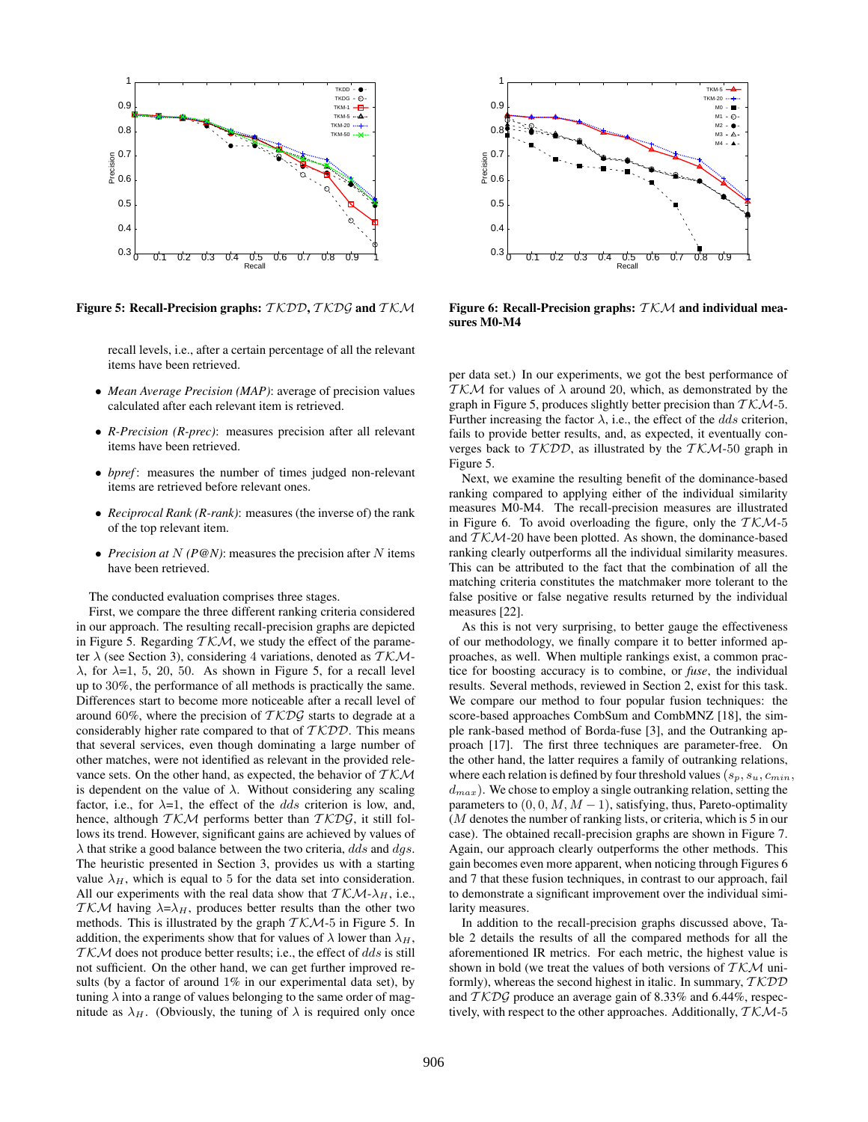

Figure 5: Recall-Precision graphs:  $TKDD, TKDS$  and  $TKM$ 

recall levels, i.e., after a certain percentage of all the relevant items have been retrieved.

- *Mean Average Precision (MAP)*: average of precision values calculated after each relevant item is retrieved.
- *R-Precision (R-prec)*: measures precision after all relevant items have been retrieved.
- *bpref* : measures the number of times judged non-relevant items are retrieved before relevant ones.
- *Reciprocal Rank (R-rank)*: measures (the inverse of) the rank of the top relevant item.
- *Precision at*  $N$  *(P@N)*: measures the precision after  $N$  items have been retrieved.

The conducted evaluation comprises three stages.

First, we compare the three different ranking criteria considered in our approach. The resulting recall-precision graphs are depicted in Figure 5. Regarding  $TKM$ , we study the effect of the parameter  $\lambda$  (see Section 3), considering 4 variations, denoted as  $TKM$ λ, for λ=1, 5, 20, 50. As shown in Figure 5, for a recall level up to 30%, the performance of all methods is practically the same. Differences start to become more noticeable after a recall level of around 60%, where the precision of  $TKD\mathcal{G}$  starts to degrade at a considerably higher rate compared to that of  $TKDD$ . This means that several services, even though dominating a large number of other matches, were not identified as relevant in the provided relevance sets. On the other hand, as expected, the behavior of  $TKM$ is dependent on the value of  $\lambda$ . Without considering any scaling factor, i.e., for  $\lambda=1$ , the effect of the *dds* criterion is low, and, hence, although  $TKM$  performs better than  $TKDS$ , it still follows its trend. However, significant gains are achieved by values of  $\lambda$  that strike a good balance between the two criteria, dds and dqs. The heuristic presented in Section 3, provides us with a starting value  $\lambda_H$ , which is equal to 5 for the data set into consideration. All our experiments with the real data show that  $TKM-\lambda_H$ , i.e., TKM having  $\lambda = \lambda_H$ , produces better results than the other two methods. This is illustrated by the graph  $TKM-5$  in Figure 5. In addition, the experiments show that for values of  $\lambda$  lower than  $\lambda_H$ ,  $TKM$  does not produce better results; i.e., the effect of dds is still not sufficient. On the other hand, we can get further improved results (by a factor of around 1% in our experimental data set), by tuning  $\lambda$  into a range of values belonging to the same order of magnitude as  $\lambda_H$ . (Obviously, the tuning of  $\lambda$  is required only once



Figure 6: Recall-Precision graphs:  $TKM$  and individual measures M0-M4

per data set.) In our experiments, we got the best performance of TKM for values of  $\lambda$  around 20, which, as demonstrated by the graph in Figure 5, produces slightly better precision than  $TKM-5$ . Further increasing the factor  $\lambda$ , i.e., the effect of the *dds* criterion, fails to provide better results, and, as expected, it eventually converges back to  $TKDD$ , as illustrated by the  $TKM-50$  graph in Figure 5.

Next, we examine the resulting benefit of the dominance-based ranking compared to applying either of the individual similarity measures M0-M4. The recall-precision measures are illustrated in Figure 6. To avoid overloading the figure, only the  $TKM-5$ and  $TKM-20$  have been plotted. As shown, the dominance-based ranking clearly outperforms all the individual similarity measures. This can be attributed to the fact that the combination of all the matching criteria constitutes the matchmaker more tolerant to the false positive or false negative results returned by the individual measures [22].

As this is not very surprising, to better gauge the effectiveness of our methodology, we finally compare it to better informed approaches, as well. When multiple rankings exist, a common practice for boosting accuracy is to combine, or *fuse*, the individual results. Several methods, reviewed in Section 2, exist for this task. We compare our method to four popular fusion techniques: the score-based approaches CombSum and CombMNZ [18], the simple rank-based method of Borda-fuse [3], and the Outranking approach [17]. The first three techniques are parameter-free. On the other hand, the latter requires a family of outranking relations, where each relation is defined by four threshold values ( $s_p, s_u, c_{min}$ ,  $d_{max}$ ). We chose to employ a single outranking relation, setting the parameters to  $(0, 0, M, M - 1)$ , satisfying, thus, Pareto-optimality (M denotes the number of ranking lists, or criteria, which is 5 in our case). The obtained recall-precision graphs are shown in Figure 7. Again, our approach clearly outperforms the other methods. This gain becomes even more apparent, when noticing through Figures 6 and 7 that these fusion techniques, in contrast to our approach, fail to demonstrate a significant improvement over the individual similarity measures.

In addition to the recall-precision graphs discussed above, Table 2 details the results of all the compared methods for all the aforementioned IR metrics. For each metric, the highest value is shown in bold (we treat the values of both versions of  $TKM$  uniformly), whereas the second highest in italic. In summary,  $TKDD$ and  $TKDG$  produce an average gain of 8.33% and 6.44%, respectively, with respect to the other approaches. Additionally,  $TKM-5$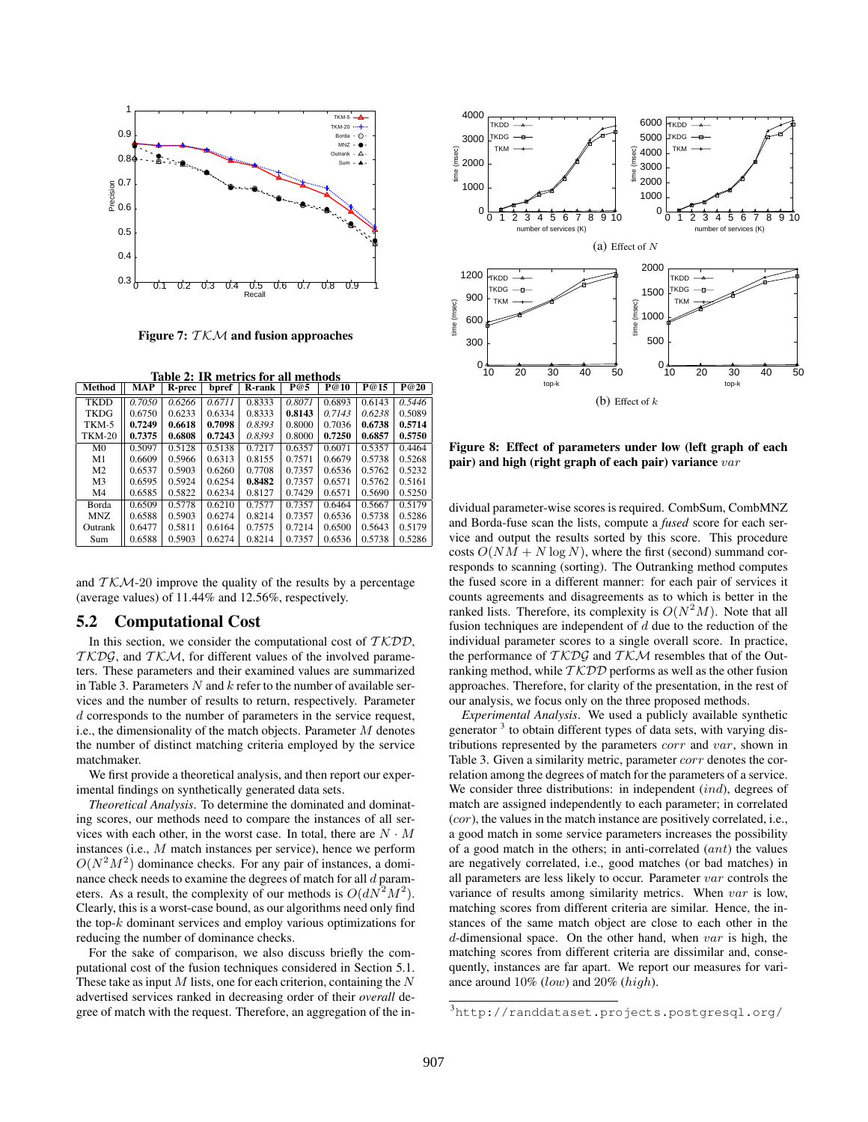

Figure 7:  $TKM$  and fusion approaches

|  |  | Table 2: IR metrics for all methods |  |  |  |
|--|--|-------------------------------------|--|--|--|
|  |  |                                     |  |  |  |

| Method         | MAP    | R-prec | bpref  | <b>R-rank</b> | P@5    | P@10   | P@15   | P@20   |
|----------------|--------|--------|--------|---------------|--------|--------|--------|--------|
| <b>TKDD</b>    | 0.7050 | 0.6266 | 0.6711 | 0.8333        | 0.8071 | 0.6893 | 0.6143 | 0.5446 |
| <b>TKDG</b>    | 0.6750 | 0.6233 | 0.6334 | 0.8333        | 0.8143 | 0.7143 | 0.6238 | 0.5089 |
| TKM-5          | 0.7249 | 0.6618 | 0.7098 | 0.8393        | 0.8000 | 0.7036 | 0.6738 | 0.5714 |
| <b>TKM-20</b>  | 0.7375 | 0.6808 | 0.7243 | 0.8393        | 0.8000 | 0.7250 | 0.6857 | 0.5750 |
| M <sub>0</sub> | 0.5097 | 0.5128 | 0.5138 | 0.7217        | 0.6357 | 0.6071 | 0.5357 | 0.4464 |
| M1             | 0.6609 | 0.5966 | 0.6313 | 0.8155        | 0.7571 | 0.6679 | 0.5738 | 0.5268 |
| M <sub>2</sub> | 0.6537 | 0.5903 | 0.6260 | 0.7708        | 0.7357 | 0.6536 | 0.5762 | 0.5232 |
| M <sub>3</sub> | 0.6595 | 0.5924 | 0.6254 | 0.8482        | 0.7357 | 0.6571 | 0.5762 | 0.5161 |
| M <sub>4</sub> | 0.6585 | 0.5822 | 0.6234 | 0.8127        | 0.7429 | 0.6571 | 0.5690 | 0.5250 |
| Borda          | 0.6509 | 0.5778 | 0.6210 | 0.7577        | 0.7357 | 0.6464 | 0.5667 | 0.5179 |
| MNZ.           | 0.6588 | 0.5903 | 0.6274 | 0.8214        | 0.7357 | 0.6536 | 0.5738 | 0.5286 |
| Outrank        | 0.6477 | 0.5811 | 0.6164 | 0.7575        | 0.7214 | 0.6500 | 0.5643 | 0.5179 |
| Sum            | 0.6588 | 0.5903 | 0.6274 | 0.8214        | 0.7357 | 0.6536 | 0.5738 | 0.5286 |

and  $TKM-20$  improve the quality of the results by a percentage (average values) of 11.44% and 12.56%, respectively.

#### 5.2 Computational Cost

In this section, we consider the computational cost of  $TKDD$ ,  $TKDS$ , and  $TKM$ , for different values of the involved parameters. These parameters and their examined values are summarized in Table 3. Parameters  $N$  and  $k$  refer to the number of available services and the number of results to return, respectively. Parameter d corresponds to the number of parameters in the service request, i.e., the dimensionality of the match objects. Parameter  $M$  denotes the number of distinct matching criteria employed by the service matchmaker.

We first provide a theoretical analysis, and then report our experimental findings on synthetically generated data sets.

*Theoretical Analysis*. To determine the dominated and dominating scores, our methods need to compare the instances of all services with each other, in the worst case. In total, there are  $N \cdot M$ instances (i.e., M match instances per service), hence we perform  $O(N^2M^2)$  dominance checks. For any pair of instances, a dominance check needs to examine the degrees of match for all  $d$  parameters. As a result, the complexity of our methods is  $O(dN^2M^2)$ . Clearly, this is a worst-case bound, as our algorithms need only find the top- $k$  dominant services and employ various optimizations for reducing the number of dominance checks.

For the sake of comparison, we also discuss briefly the computational cost of the fusion techniques considered in Section 5.1. These take as input  $M$  lists, one for each criterion, containing the  $N$ advertised services ranked in decreasing order of their *overall* degree of match with the request. Therefore, an aggregation of the in-



Figure 8: Effect of parameters under low (left graph of each pair) and high (right graph of each pair) variance  $var$ 

dividual parameter-wise scores is required. CombSum, CombMNZ and Borda-fuse scan the lists, compute a *fused* score for each service and output the results sorted by this score. This procedure costs  $O(NM + N \log N)$ , where the first (second) summand corresponds to scanning (sorting). The Outranking method computes the fused score in a different manner: for each pair of services it counts agreements and disagreements as to which is better in the ranked lists. Therefore, its complexity is  $O(N^2M)$ . Note that all fusion techniques are independent of  $d$  due to the reduction of the individual parameter scores to a single overall score. In practice, the performance of  $TKD\mathcal{G}$  and  $TK\mathcal{M}$  resembles that of the Outranking method, while  $TKDD$  performs as well as the other fusion approaches. Therefore, for clarity of the presentation, in the rest of our analysis, we focus only on the three proposed methods.

*Experimental Analysis*. We used a publicly available synthetic generator<sup>3</sup> to obtain different types of data sets, with varying distributions represented by the parameters corr and var, shown in Table 3. Given a similarity metric, parameter corr denotes the correlation among the degrees of match for the parameters of a service. We consider three distributions: in independent *(ind)*, degrees of match are assigned independently to each parameter; in correlated (cor), the values in the match instance are positively correlated, i.e., a good match in some service parameters increases the possibility of a good match in the others; in anti-correlated (ant) the values are negatively correlated, i.e., good matches (or bad matches) in all parameters are less likely to occur. Parameter var controls the variance of results among similarity metrics. When var is low, matching scores from different criteria are similar. Hence, the instances of the same match object are close to each other in the d-dimensional space. On the other hand, when  $var$  is high, the matching scores from different criteria are dissimilar and, consequently, instances are far apart. We report our measures for variance around 10% (low) and 20% (high).

<sup>3</sup>http://randdataset.projects.postgresql.org/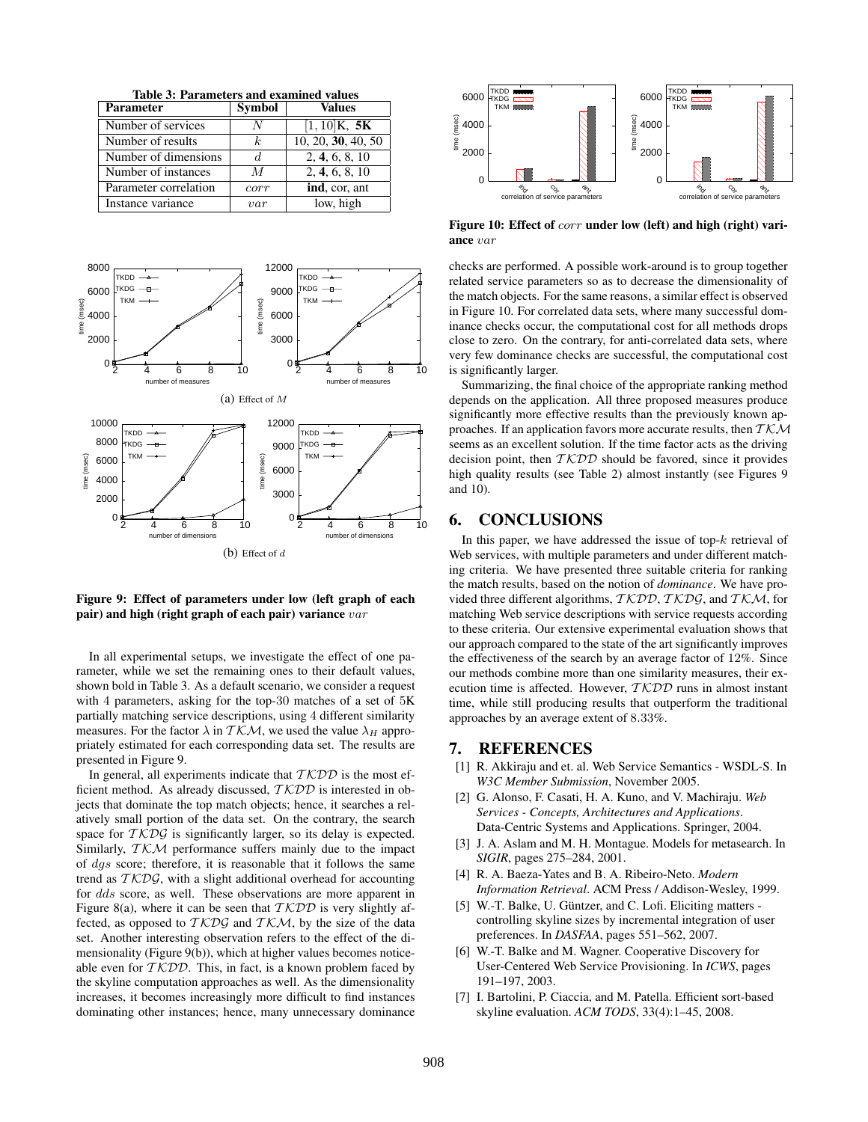Table 3: Parameters and examined values

| <b>Parameter</b>      | <b>Symbol</b> | Values             |
|-----------------------|---------------|--------------------|
| Number of services    |               | $[1, 10]$ K, 5K    |
| Number of results     | k.            | 10, 20, 30, 40, 50 |
| Number of dimensions  |               | 2, 4, 6, 8, 10     |
| Number of instances   | M             | 2, 4, 6, 8, 10     |
| Parameter correlation | corr          | ind, cor, ant      |
| Instance variance     | var           | low, high          |



Figure 9: Effect of parameters under low (left graph of each pair) and high (right graph of each pair) variance  $var$ 

In all experimental setups, we investigate the effect of one parameter, while we set the remaining ones to their default values, shown bold in Table 3. As a default scenario, we consider a request with 4 parameters, asking for the top-30 matches of a set of 5K partially matching service descriptions, using 4 different similarity measures. For the factor  $\lambda$  in  $TKM$ , we used the value  $\lambda_H$  appropriately estimated for each corresponding data set. The results are presented in Figure 9.

In general, all experiments indicate that  $TKDD$  is the most efficient method. As already discussed,  $TKDD$  is interested in objects that dominate the top match objects; hence, it searches a relatively small portion of the data set. On the contrary, the search space for  $TKD\mathcal{G}$  is significantly larger, so its delay is expected. Similarly,  $TKM$  performance suffers mainly due to the impact of dgs score; therefore, it is reasonable that it follows the same trend as  $TKD\mathcal{G}$ , with a slight additional overhead for accounting for dds score, as well. These observations are more apparent in Figure 8(a), where it can be seen that  $TKDD$  is very slightly affected, as opposed to  $TKDS$  and  $TKM$ , by the size of the data set. Another interesting observation refers to the effect of the dimensionality (Figure 9(b)), which at higher values becomes noticeable even for  $TKDD$ . This, in fact, is a known problem faced by the skyline computation approaches as well. As the dimensionality increases, it becomes increasingly more difficult to find instances dominating other instances; hence, many unnecessary dominance



Figure 10: Effect of corr under low (left) and high (right) variance var

checks are performed. A possible work-around is to group together related service parameters so as to decrease the dimensionality of the match objects. For the same reasons, a similar effect is observed in Figure 10. For correlated data sets, where many successful dominance checks occur, the computational cost for all methods drops close to zero. On the contrary, for anti-correlated data sets, where very few dominance checks are successful, the computational cost is significantly larger.

Summarizing, the final choice of the appropriate ranking method depends on the application. All three proposed measures produce significantly more effective results than the previously known approaches. If an application favors more accurate results, then  $TKM$ seems as an excellent solution. If the time factor acts as the driving decision point, then  $TKDD$  should be favored, since it provides high quality results (see Table 2) almost instantly (see Figures 9 and 10).

#### 6. CONCLUSIONS

In this paper, we have addressed the issue of top- $k$  retrieval of Web services, with multiple parameters and under different matching criteria. We have presented three suitable criteria for ranking the match results, based on the notion of *dominance*. We have provided three different algorithms,  $TKDD$ ,  $TKDS$ , and  $TKM$ , for matching Web service descriptions with service requests according to these criteria. Our extensive experimental evaluation shows that our approach compared to the state of the art significantly improves the effectiveness of the search by an average factor of 12%. Since our methods combine more than one similarity measures, their execution time is affected. However,  $TKDD$  runs in almost instant time, while still producing results that outperform the traditional approaches by an average extent of 8.33%.

### 7. REFERENCES

- [1] R. Akkiraju and et. al. Web Service Semantics WSDL-S. In *W3C Member Submission*, November 2005.
- [2] G. Alonso, F. Casati, H. A. Kuno, and V. Machiraju. *Web Services - Concepts, Architectures and Applications*. Data-Centric Systems and Applications. Springer, 2004.
- [3] J. A. Aslam and M. H. Montague. Models for metasearch. In *SIGIR*, pages 275–284, 2001.
- [4] R. A. Baeza-Yates and B. A. Ribeiro-Neto. *Modern Information Retrieval*. ACM Press / Addison-Wesley, 1999.
- [5] W.-T. Balke, U. Güntzer, and C. Lofi. Eliciting matters controlling skyline sizes by incremental integration of user preferences. In *DASFAA*, pages 551–562, 2007.
- [6] W.-T. Balke and M. Wagner. Cooperative Discovery for User-Centered Web Service Provisioning. In *ICWS*, pages 191–197, 2003.
- [7] I. Bartolini, P. Ciaccia, and M. Patella. Efficient sort-based skyline evaluation. *ACM TODS*, 33(4):1–45, 2008.